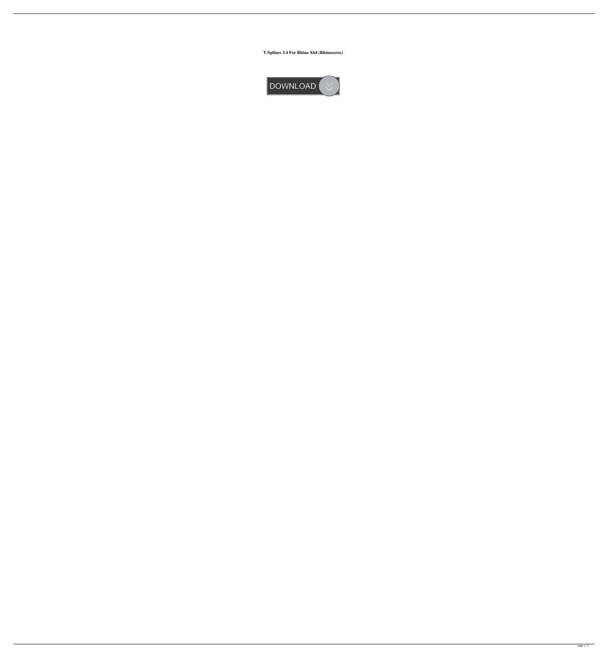**T-Splines 3.4 For Rhino X64 (Rhinoceros)**